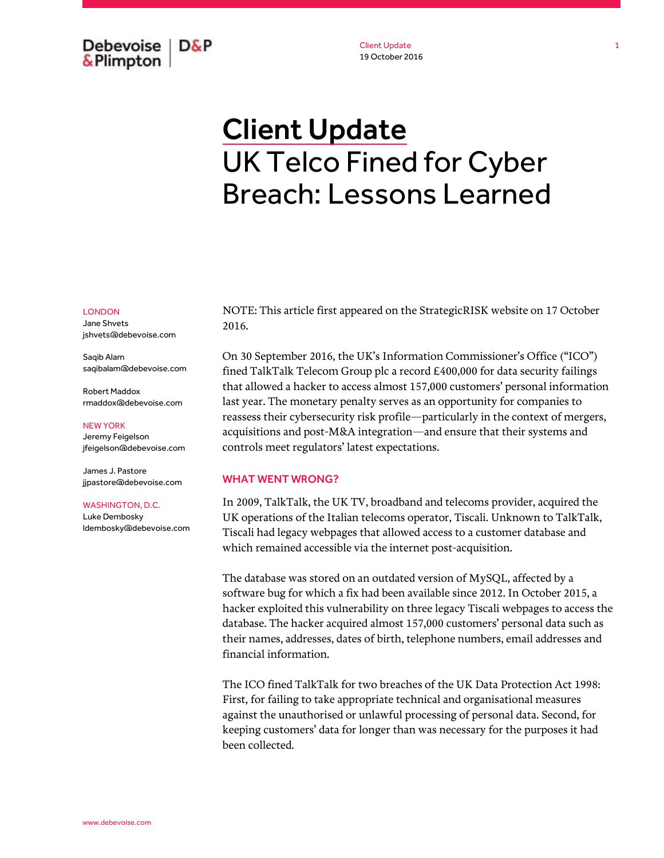Debevoise  $D\&P$ & Plimpton

Client Update 19 October 2016

# Client Update UK Telco Fined for Cyber Breach: Lessons Learned

### LONDON

Jane Shvets jshvets@debevoise.com

Saqib Alam saqibalam@debevoise.com

Robert Maddox rmaddox@debevoise.com

#### NEW YORK

Jeremy Feigelson jfeigelson@debevoise.com

James J. Pastore jjpastore@debevoise.com

#### WASHINGTON, D.C.

Luke Dembosky ldembosky@debevoise.com NOTE: This article first appeared on the StrategicRISK website on 17 October 2016.

On 30 September 2016, the UK's Information Commissioner's Office ("ICO") fined TalkTalk Telecom Group plc a record £400,000 for data security failings that allowed a hacker to access almost 157,000 customers' personal information last year. The monetary penalty serves as an opportunity for companies to reassess their cybersecurity risk profile—particularly in the context of mergers, acquisitions and post-M&A integration—and ensure that their systems and controls meet regulators' latest expectations.

## WHAT WENT WRONG?

In 2009, TalkTalk, the UK TV, broadband and telecoms provider, acquired the UK operations of the Italian telecoms operator, Tiscali. Unknown to TalkTalk, Tiscali had legacy webpages that allowed access to a customer database and which remained accessible via the internet post-acquisition.

The database was stored on an outdated version of MySQL, affected by a software bug for which a fix had been available since 2012. In October 2015, a hacker exploited this vulnerability on three legacy Tiscali webpages to access the database. The hacker acquired almost 157,000 customers' personal data such as their names, addresses, dates of birth, telephone numbers, email addresses and financial information.

The ICO fined TalkTalk for two breaches of the UK Data Protection Act 1998: First, for failing to take appropriate technical and organisational measures against the unauthorised or unlawful processing of personal data. Second, for keeping customers' data for longer than was necessary for the purposes it had been collected.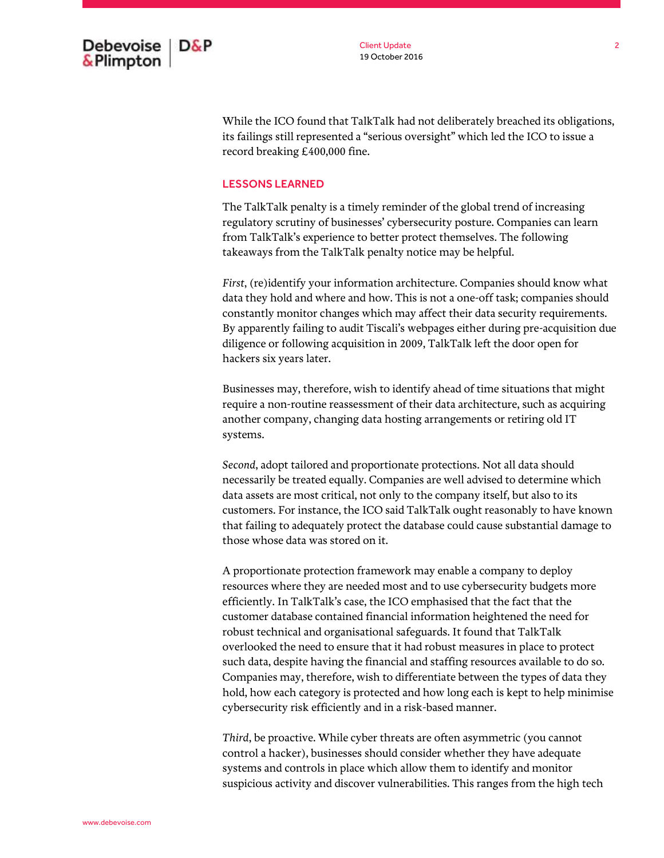

While the ICO found that TalkTalk had not deliberately breached its obligations, its failings still represented a "serious oversight" which led the ICO to issue a record breaking £400,000 fine.

## LESSONS LEARNED

The TalkTalk penalty is a timely reminder of the global trend of increasing regulatory scrutiny of businesses' cybersecurity posture. Companies can learn from TalkTalk's experience to better protect themselves. The following takeaways from the TalkTalk penalty notice may be helpful.

*First*, (re)identify your information architecture. Companies should know what data they hold and where and how. This is not a one-off task; companies should constantly monitor changes which may affect their data security requirements. By apparently failing to audit Tiscali's webpages either during pre-acquisition due diligence or following acquisition in 2009, TalkTalk left the door open for hackers six years later.

Businesses may, therefore, wish to identify ahead of time situations that might require a non-routine reassessment of their data architecture, such as acquiring another company, changing data hosting arrangements or retiring old IT systems.

*Second*, adopt tailored and proportionate protections. Not all data should necessarily be treated equally. Companies are well advised to determine which data assets are most critical, not only to the company itself, but also to its customers. For instance, the ICO said TalkTalk ought reasonably to have known that failing to adequately protect the database could cause substantial damage to those whose data was stored on it.

A proportionate protection framework may enable a company to deploy resources where they are needed most and to use cybersecurity budgets more efficiently. In TalkTalk's case, the ICO emphasised that the fact that the customer database contained financial information heightened the need for robust technical and organisational safeguards. It found that TalkTalk overlooked the need to ensure that it had robust measures in place to protect such data, despite having the financial and staffing resources available to do so. Companies may, therefore, wish to differentiate between the types of data they hold, how each category is protected and how long each is kept to help minimise cybersecurity risk efficiently and in a risk-based manner.

*Third*, be proactive. While cyber threats are often asymmetric (you cannot control a hacker), businesses should consider whether they have adequate systems and controls in place which allow them to identify and monitor suspicious activity and discover vulnerabilities. This ranges from the high tech